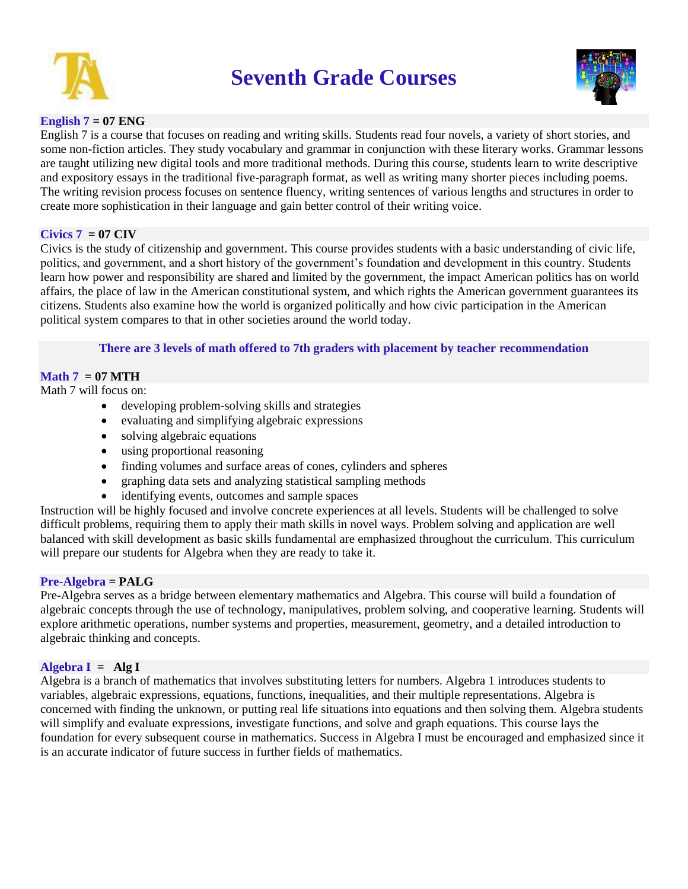

# **Seventh Grade Courses**



## **English 7 = 07 ENG**

English 7 is a course that focuses on reading and writing skills. Students read four novels, a variety of short stories, and some non-fiction articles. They study vocabulary and grammar in conjunction with these literary works. Grammar lessons are taught utilizing new digital tools and more traditional methods. During this course, students learn to write descriptive and expository essays in the traditional five-paragraph format, as well as writing many shorter pieces including poems. The writing revision process focuses on sentence fluency, writing sentences of various lengths and structures in order to create more sophistication in their language and gain better control of their writing voice.

## $Civics 7 = 07 CIV$

Civics is the study of citizenship and government. This course provides students with a basic understanding of civic life, politics, and government, and a short history of the government's foundation and development in this country. Students learn how power and responsibility are shared and limited by the government, the impact American politics has on world affairs, the place of law in the American constitutional system, and which rights the American government guarantees its citizens. Students also examine how the world is organized politically and how civic participation in the American political system compares to that in other societies around the world today.

## **There are 3 levels of math offered to 7th graders with placement by teacher recommendation**

## $\mathbf{Math} \mathbf{7} = 07 \mathbf{MTH}$

Math 7 will focus on:

- developing problem-solving skills and strategies
- evaluating and simplifying algebraic expressions
- solving algebraic equations
- using proportional reasoning
- finding volumes and surface areas of cones, cylinders and spheres
- graphing data sets and analyzing statistical sampling methods
- identifying events, outcomes and sample spaces

Instruction will be highly focused and involve concrete experiences at all levels. Students will be challenged to solve difficult problems, requiring them to apply their math skills in novel ways. Problem solving and application are well balanced with skill development as basic skills fundamental are emphasized throughout the curriculum. This curriculum will prepare our students for Algebra when they are ready to take it.

## **Pre-Algebra = PALG**

Pre-Algebra serves as a bridge between elementary mathematics and Algebra. This course will build a foundation of algebraic concepts through the use of technology, manipulatives, problem solving, and cooperative learning. Students will explore arithmetic operations, number systems and properties, measurement, geometry, and a detailed introduction to algebraic thinking and concepts.

## **Algebra I = Alg I**

Algebra is a branch of mathematics that involves substituting letters for numbers. Algebra 1 introduces students to variables, algebraic expressions, equations, functions, inequalities, and their multiple representations. Algebra is concerned with finding the unknown, or putting real life situations into equations and then solving them. Algebra students will simplify and evaluate expressions, investigate functions, and solve and graph equations. This course lays the foundation for every subsequent course in mathematics. Success in Algebra I must be encouraged and emphasized since it is an accurate indicator of future success in further fields of mathematics.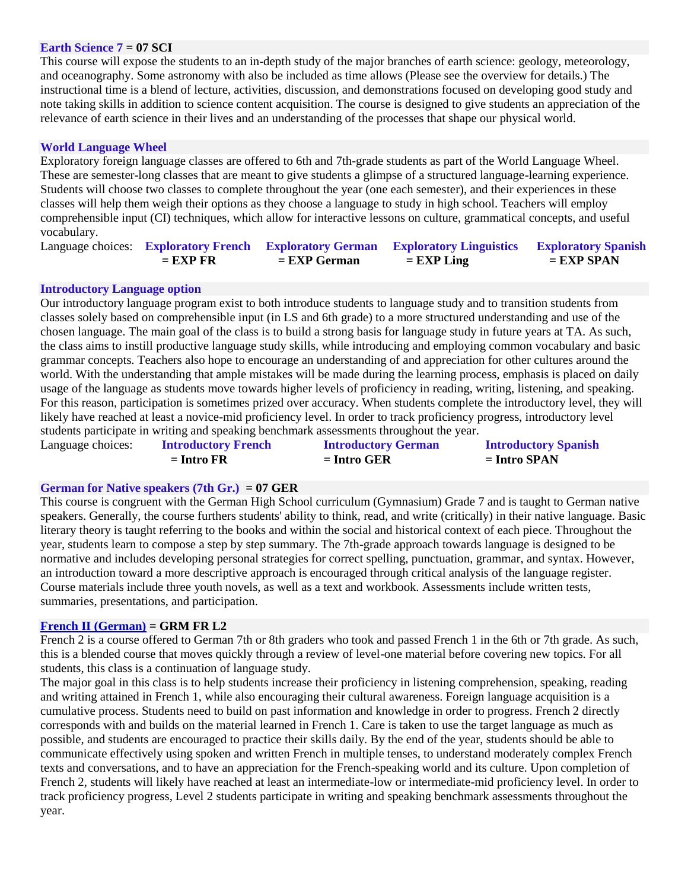#### **Earth Science 7 = 07 SCI**

This course will expose the students to an in-depth study of the major branches of earth science: geology, meteorology, and oceanography. Some astronomy with also be included as time allows (Please see the overview for details.) The instructional time is a blend of lecture, activities, discussion, and demonstrations focused on developing good study and note taking skills in addition to science content acquisition. The course is designed to give students an appreciation of the relevance of earth science in their lives and an understanding of the processes that shape our physical world.

### **World Language Wheel**

Exploratory foreign language classes are offered to 6th and 7th-grade students as part of the World Language Wheel. These are semester-long classes that are meant to give students a glimpse of a structured language-learning experience. Students will choose two classes to complete throughout the year (one each semester), and their experiences in these classes will help them weigh their options as they choose a language to study in high school. Teachers will employ comprehensible input (CI) techniques, which allow for interactive lessons on culture, grammatical concepts, and useful vocabulary.

|            |                | Language choices: Exploratory French Exploratory German Exploratory Linguistics Exploratory Spanish |              |
|------------|----------------|-----------------------------------------------------------------------------------------------------|--------------|
| $=$ EXP FR | $=$ EXP German | $=$ EXP Ling                                                                                        | $=$ EXP SPAN |

#### **Introductory Language option**

Our introductory language program exist to both introduce students to language study and to transition students from classes solely based on comprehensible input (in LS and 6th grade) to a more structured understanding and use of the chosen language. The main goal of the class is to build a strong basis for language study in future years at TA. As such, the class aims to instill productive language study skills, while introducing and employing common vocabulary and basic grammar concepts. Teachers also hope to encourage an understanding of and appreciation for other cultures around the world. With the understanding that ample mistakes will be made during the learning process, emphasis is placed on daily usage of the language as students move towards higher levels of proficiency in reading, writing, listening, and speaking. For this reason, participation is sometimes prized over accuracy. When students complete the introductory level, they will likely have reached at least a novice-mid proficiency level. In order to track proficiency progress, introductory level students participate in writing and speaking benchmark assessments throughout the year.

| Language choices: | <b>Introductory French</b> | <b>Introductory German</b> | <b>Introductory Spanish</b> |
|-------------------|----------------------------|----------------------------|-----------------------------|
|                   | $=$ Intro FR               | $=$ Intro GER              | $=$ Intro SPAN              |

#### **German for Native speakers (7th Gr.) = 07 GER**

This course is congruent with the German High School curriculum (Gymnasium) Grade 7 and is taught to German native speakers. Generally, the course furthers students' ability to think, read, and write (critically) in their native language. Basic literary theory is taught referring to the books and within the social and historical context of each piece. Throughout the year, students learn to compose a step by step summary. The 7th-grade approach towards language is designed to be normative and includes developing personal strategies for correct spelling, punctuation, grammar, and syntax. However, an introduction toward a more descriptive approach is encouraged through critical analysis of the language register. Course materials include three youth novels, as well as a text and workbook. Assessments include written tests, summaries, presentations, and participation.

#### **[French II \(German\)](https://tuscaloosaacademy.rubiconatlas.org/Atlas/Browse/View/Map?CurriculumMapID=260&strkeys=&YearID=2020&) = GRM FR L2**

French 2 is a course offered to German 7th or 8th graders who took and passed French 1 in the 6th or 7th grade. As such, this is a blended course that moves quickly through a review of level-one material before covering new topics. For all students, this class is a continuation of language study.

The major goal in this class is to help students increase their proficiency in listening comprehension, speaking, reading and writing attained in French 1, while also encouraging their cultural awareness. Foreign language acquisition is a cumulative process. Students need to build on past information and knowledge in order to progress. French 2 directly corresponds with and builds on the material learned in French 1. Care is taken to use the target language as much as possible, and students are encouraged to practice their skills daily. By the end of the year, students should be able to communicate effectively using spoken and written French in multiple tenses, to understand moderately complex French texts and conversations, and to have an appreciation for the French-speaking world and its culture. Upon completion of French 2, students will likely have reached at least an intermediate-low or intermediate-mid proficiency level. In order to track proficiency progress, Level 2 students participate in writing and speaking benchmark assessments throughout the year.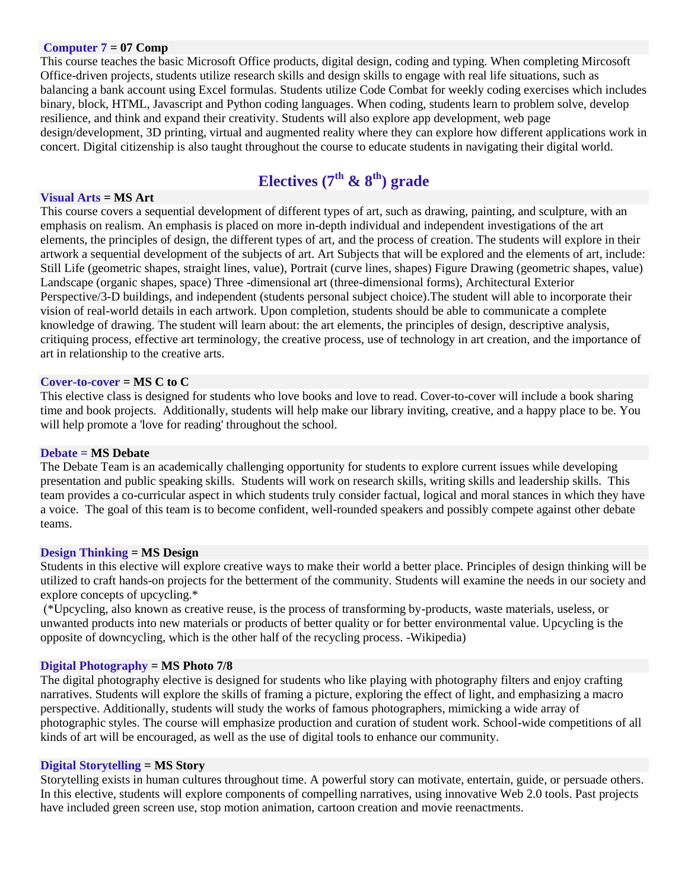#### **Computer 7 = 07 Comp**

This course teaches the basic Microsoft Office products, digital design, coding and typing. When completing Mircosoft Office-driven projects, students utilize research skills and design skills to engage with real life situations, such as balancing a bank account using Excel formulas. Students utilize Code Combat for weekly coding exercises which includes binary, block, HTML, Javascript and Python coding languages. When coding, students learn to problem solve, develop resilience, and think and expand their creativity. Students will also explore app development, web page design/development, 3D printing, virtual and augmented reality where they can explore how different applications work in concert. Digital citizenship is also taught throughout the course to educate students in navigating their digital world.

## **Electives (7th & 8th) grade**

#### **Visual Arts = MS Art**

This course covers a sequential development of different types of art, such as drawing, painting, and sculpture, with an emphasis on realism. An emphasis is placed on more in-depth individual and independent investigations of the art elements, the principles of design, the different types of art, and the process of creation. The students will explore in their artwork a sequential development of the subjects of art. Art Subjects that will be explored and the elements of art, include: Still Life (geometric shapes, straight lines, value), Portrait (curve lines, shapes) Figure Drawing (geometric shapes, value) Landscape (organic shapes, space) Three -dimensional art (three-dimensional forms), Architectural Exterior Perspective/3-D buildings, and independent (students personal subject choice).The student will able to incorporate their vision of real-world details in each artwork. Upon completion, students should be able to communicate a complete knowledge of drawing. The student will learn about: the art elements, the principles of design, descriptive analysis, critiquing process, effective art terminology, the creative process, use of technology in art creation, and the importance of art in relationship to the creative arts.

#### **Cover-to-cover = MS C to C**

This elective class is designed for students who love books and love to read. Cover-to-cover will include a book sharing time and book projects. Additionally, students will help make our library inviting, creative, and a happy place to be. You will help promote a 'love for reading' throughout the school.

#### **Debate = MS Debate**

The Debate Team is an academically challenging opportunity for students to explore current issues while developing presentation and public speaking skills. Students will work on research skills, writing skills and leadership skills. This team provides a co-curricular aspect in which students truly consider factual, logical and moral stances in which they have a voice. The goal of this team is to become confident, well-rounded speakers and possibly compete against other debate teams.

#### **Design Thinking = MS Design**

Students in this elective will explore creative ways to make their world a better place. Principles of design thinking will be utilized to craft hands-on projects for the betterment of the community. Students will examine the needs in our society and explore concepts of upcycling.\*

(\*Upcycling, also known as creative reuse, is the process of transforming by-products, waste materials, useless, or unwanted products into new materials or products of better quality or for better environmental value. Upcycling is the opposite of downcycling, which is the other half of the recycling process. -Wikipedia)

#### **Digital Photography = MS Photo 7/8**

The digital photography elective is designed for students who like playing with photography filters and enjoy crafting narratives. Students will explore the skills of framing a picture, exploring the effect of light, and emphasizing a macro perspective. Additionally, students will study the works of famous photographers, mimicking a wide array of photographic styles. The course will emphasize production and curation of student work. School-wide competitions of all kinds of art will be encouraged, as well as the use of digital tools to enhance our community.

## **Digital Storytelling = MS Story**

Storytelling exists in human cultures throughout time. A powerful story can motivate, entertain, guide, or persuade others. In this elective, students will explore components of compelling narratives, using innovative Web 2.0 tools. Past projects have included green screen use, stop motion animation, cartoon creation and movie reenactments.